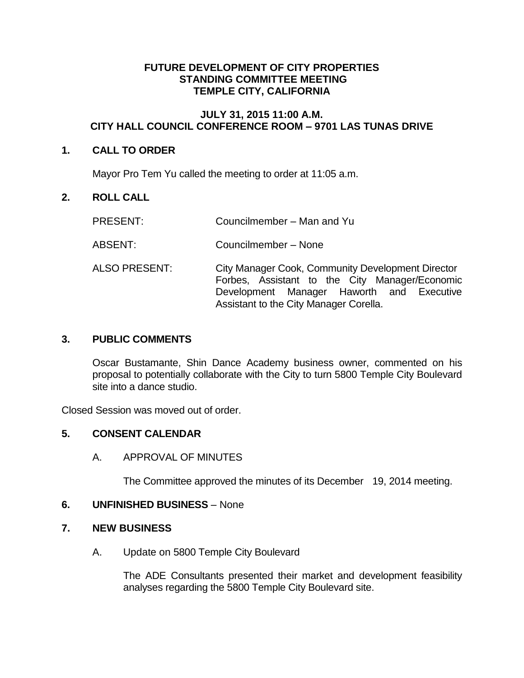### **FUTURE DEVELOPMENT OF CITY PROPERTIES STANDING COMMITTEE MEETING TEMPLE CITY, CALIFORNIA**

## **JULY 31, 2015 11:00 A.M. CITY HALL COUNCIL CONFERENCE ROOM – 9701 LAS TUNAS DRIVE**

## **1. CALL TO ORDER**

Mayor Pro Tem Yu called the meeting to order at 11:05 a.m.

# **2. ROLL CALL**

- PRESENT: Councilmember Man and Yu
- ABSENT: Councilmember None
- ALSO PRESENT: City Manager Cook, Community Development Director Forbes, Assistant to the City Manager/Economic Development Manager Haworth and Executive Assistant to the City Manager Corella.

### **3. PUBLIC COMMENTS**

Oscar Bustamante, Shin Dance Academy business owner, commented on his proposal to potentially collaborate with the City to turn 5800 Temple City Boulevard site into a dance studio.

Closed Session was moved out of order.

### **5. CONSENT CALENDAR**

A. APPROVAL OF MINUTES

The Committee approved the minutes of its December 19, 2014 meeting.

### **6. UNFINISHED BUSINESS** – None

### **7. NEW BUSINESS**

A. Update on 5800 Temple City Boulevard

The ADE Consultants presented their market and development feasibility analyses regarding the 5800 Temple City Boulevard site.